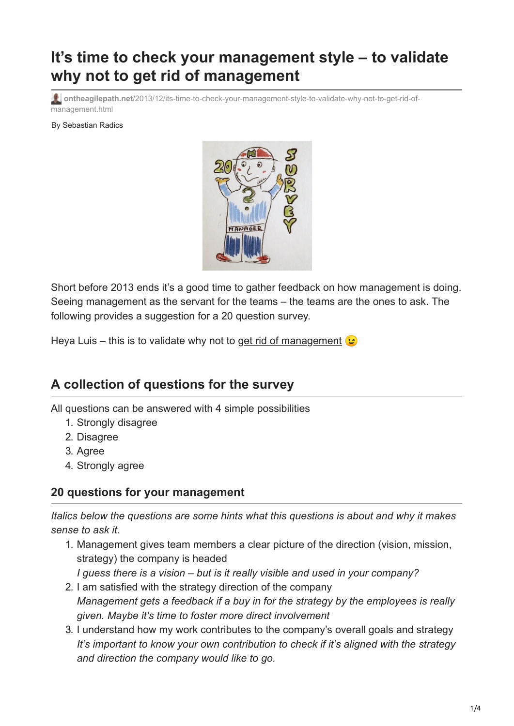# **It's time to check your management style – to validate why not to get rid of management**

**ontheagilepath.net**[/2013/12/its-time-to-check-your-management-style-to-validate-why-not-to-get-rid-of](https://www.ontheagilepath.net/2013/12/its-time-to-check-your-management-style-to-validate-why-not-to-get-rid-of-management.html)management.html

By Sebastian Radics



Short before 2013 ends it's a good time to gather feedback on how management is doing. Seeing management as the servant for the teams – the teams are the ones to ask. The following provides a suggestion for a 20 question survey.

Heya Luis – this is to validate why not to [get rid of management](http://lmsgoncalves.com/2013/11/03/get-rid-of-managers/)  $\bigcirc$ 

## **A collection of questions for the survey**

All questions can be answered with 4 simple possibilities

- 1. Strongly disagree
- 2. Disagree
- 3. Agree
- 4. Strongly agree

#### **20 questions for your management**

*Italics below the questions are some hints what this questions is about and why it makes sense to ask it.*

- 1. Management gives team members a clear picture of the direction (vision, mission, strategy) the company is headed *I guess there is a vision – but is it really visible and used in your company?*
- 2. I am satisfied with the strategy direction of the company *Management gets a feedback if a buy in for the strategy by the employees is really given. Maybe it's time to foster more direct involvement*
- 3. I understand how my work contributes to the company's overall goals and strategy *It's important to know your own contribution to check if it's aligned with the strategy and direction the company would like to go.*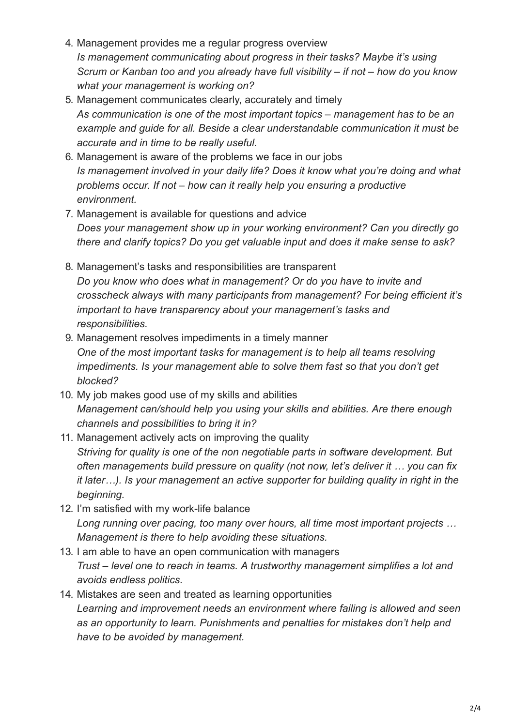- 4. Management provides me a regular progress overview *Is management communicating about progress in their tasks? Maybe it's using Scrum or Kanban too and you already have full visibility – if not – how do you know what your management is working on?*
- 5. Management communicates clearly, accurately and timely *As communication is one of the most important topics – management has to be an example and guide for all. Beside a clear understandable communication it must be accurate and in time to be really useful.*
- 6. Management is aware of the problems we face in our jobs *Is management involved in your daily life? Does it know what you're doing and what problems occur. If not – how can it really help you ensuring a productive environment.*
- 7. Management is available for questions and advice *Does your management show up in your working environment? Can you directly go there and clarify topics? Do you get valuable input and does it make sense to ask?*
- 8. Management's tasks and responsibilities are transparent *Do you know who does what in management? Or do you have to invite and crosscheck always with many participants from management? For being efficient it's important to have transparency about your management's tasks and responsibilities.*
- 9. Management resolves impediments in a timely manner *One of the most important tasks for management is to help all teams resolving impediments. Is your management able to solve them fast so that you don't get blocked?*
- 10. My job makes good use of my skills and abilities *Management can/should help you using your skills and abilities. Are there enough channels and possibilities to bring it in?*
- 11. Management actively acts on improving the quality *Striving for quality is one of the non negotiable parts in software development. But often managements build pressure on quality (not now, let's deliver it … you can fix it later…). Is your management an active supporter for building quality in right in the beginning.*
- 12. I'm satisfied with my work-life balance *Long running over pacing, too many over hours, all time most important projects … Management is there to help avoiding these situations.*
- 13. I am able to have an open communication with managers *Trust – level one to reach in teams. A trustworthy management simplifies a lot and avoids endless politics.*
- 14. Mistakes are seen and treated as learning opportunities *Learning and improvement needs an environment where failing is allowed and seen as an opportunity to learn. Punishments and penalties for mistakes don't help and have to be avoided by management.*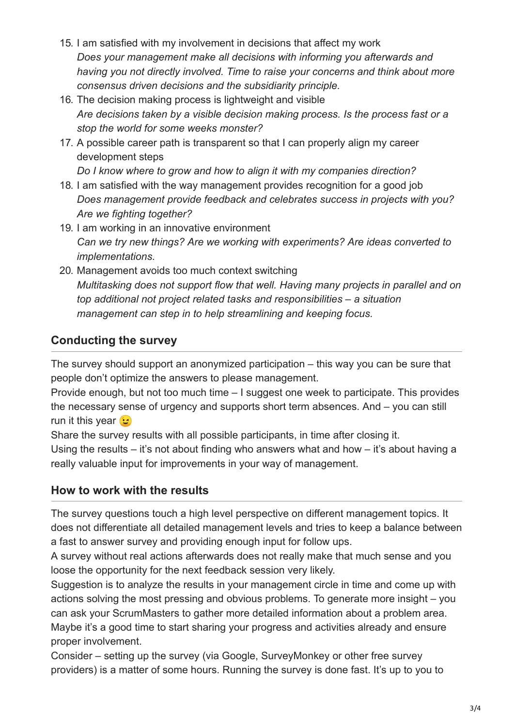- 15. I am satisfied with my involvement in decisions that affect my work *Does your management make all decisions with informing you afterwards and having you not directly involved. Time to raise your concerns and think about more consensus driven decisions and the subsidiarity principle.*
- 16. The decision making process is lightweight and visible *Are decisions taken by a visible decision making process. Is the process fast or a stop the world for some weeks monster?*
- 17. A possible career path is transparent so that I can properly align my career development steps

*Do I know where to grow and how to align it with my companies direction?* 

- 18. I am satisfied with the way management provides recognition for a good job *Does management provide feedback and celebrates success in projects with you? Are we fighting together?*
- 19. I am working in an innovative environment *Can we try new things? Are we working with experiments? Are ideas converted to implementations.*
- 20. Management avoids too much context switching *Multitasking does not support flow that well. Having many projects in parallel and on top additional not project related tasks and responsibilities – a situation management can step in to help streamlining and keeping focus.*

### **Conducting the survey**

The survey should support an anonymized participation – this way you can be sure that people don't optimize the answers to please management.

Provide enough, but not too much time – I suggest one week to participate. This provides the necessary sense of urgency and supports short term absences. And – you can still run it this year  $\odot$ 

Share the survey results with all possible participants, in time after closing it.

Using the results  $-$  it's not about finding who answers what and how  $-$  it's about having a really valuable input for improvements in your way of management.

#### **How to work with the results**

The survey questions touch a high level perspective on different management topics. It does not differentiate all detailed management levels and tries to keep a balance between a fast to answer survey and providing enough input for follow ups.

A survey without real actions afterwards does not really make that much sense and you loose the opportunity for the next feedback session very likely.

Suggestion is to analyze the results in your management circle in time and come up with actions solving the most pressing and obvious problems. To generate more insight – you can ask your ScrumMasters to gather more detailed information about a problem area. Maybe it's a good time to start sharing your progress and activities already and ensure proper involvement.

Consider – setting up the survey (via Google, SurveyMonkey or other free survey providers) is a matter of some hours. Running the survey is done fast. It's up to you to